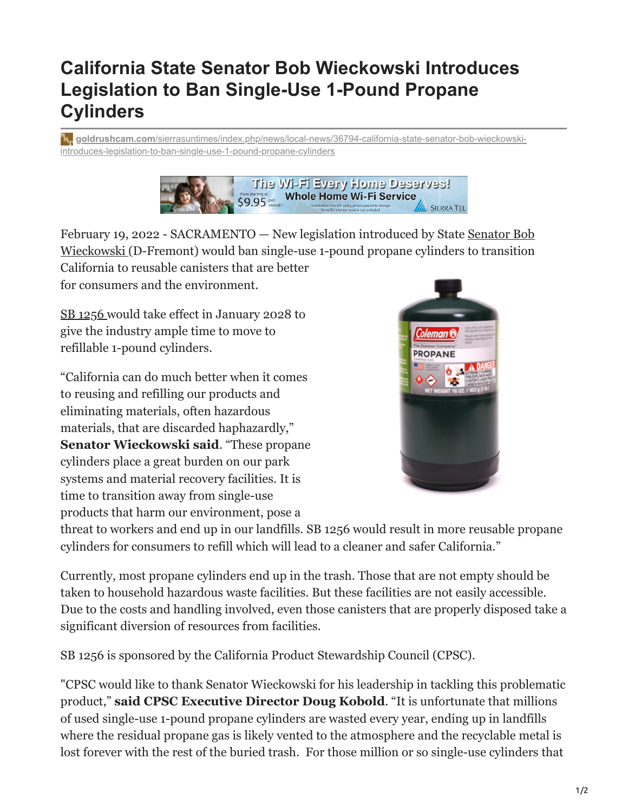## **California State Senator Bob Wieckowski Introduces Legislation to Ban Single-Use 1-Pound Propane Cylinders**

**goldrushcam.com**[/sierrasuntimes/index.php/news/local-news/36794-california-state-senator-bob-wieckowski](https://www.goldrushcam.com/sierrasuntimes/index.php/news/local-news/36794-california-state-senator-bob-wieckowski-introduces-legislation-to-ban-single-use-1-pound-propane-cylinders)introduces-legislation-to-ban-single-use-1-pound-propane-cylinders



[February 19, 2022 - SACRAMENTO — New legislation introduced by State Senator Bob](https://sd10.senate.ca.gov/) Wieckowski (D-Fremont) would ban single-use 1-pound propane cylinders to transition California to reusable canisters that are better

for consumers and the environment.

[SB 1256](https://leginfo.legislature.ca.gov/faces/billNavClient.xhtml?bill_id=202120220SB1256) would take effect in January 2028 to give the industry ample time to move to refillable 1-pound cylinders.

"California can do much better when it comes to reusing and refilling our products and eliminating materials, often hazardous materials, that are discarded haphazardly," **Senator Wieckowski said**. "These propane cylinders place a great burden on our park systems and material recovery facilities. It is time to transition away from single-use products that harm our environment, pose a



threat to workers and end up in our landfills. SB 1256 would result in more reusable propane cylinders for consumers to refill which will lead to a cleaner and safer California."

Currently, most propane cylinders end up in the trash. Those that are not empty should be taken to household hazardous waste facilities. But these facilities are not easily accessible. Due to the costs and handling involved, even those canisters that are properly disposed take a significant diversion of resources from facilities.

SB 1256 is sponsored by the California Product Stewardship Council (CPSC).

"CPSC would like to thank Senator Wieckowski for his leadership in tackling this problematic product," **said CPSC Executive Director Doug Kobold**. "It is unfortunate that millions of used single-use 1-pound propane cylinders are wasted every year, ending up in landfills where the residual propane gas is likely vented to the atmosphere and the recyclable metal is lost forever with the rest of the buried trash. For those million or so single-use cylinders that